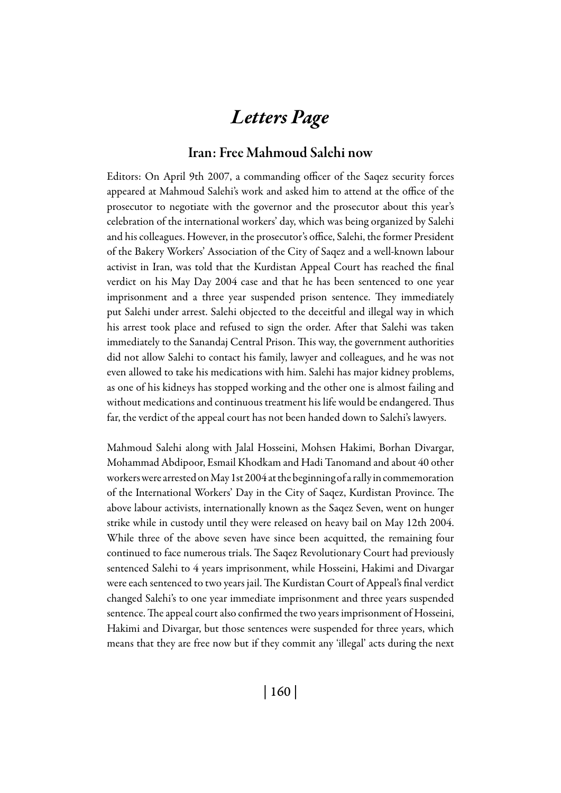## *Letters Page*

## Iran: Free Mahmoud Salehi now

Editors: On April 9th 2007, a commanding officer of the Saqez security forces appeared at Mahmoud Salehi's work and asked him to attend at the office of the prosecutor to negotiate with the governor and the prosecutor about this year's celebration of the international workers' day, which was being organized by Salehi and his colleagues. However, in the prosecutor's office, Salehi, the former President of the Bakery Workers' Association of the City of Saqez and a well-known labour activist in Iran, was told that the Kurdistan Appeal Court has reached the final verdict on his May Day 2004 case and that he has been sentenced to one year imprisonment and a three year suspended prison sentence. They immediately put Salehi under arrest. Salehi objected to the deceitful and illegal way in which his arrest took place and refused to sign the order. After that Salehi was taken immediately to the Sanandaj Central Prison. This way, the government authorities did not allow Salehi to contact his family, lawyer and colleagues, and he was not even allowed to take his medications with him. Salehi has major kidney problems, as one of his kidneys has stopped working and the other one is almost failing and without medications and continuous treatment his life would be endangered. Thus far, the verdict of the appeal court has not been handed down to Salehi's lawyers.

Mahmoud Salehi along with Jalal Hosseini, Mohsen Hakimi, Borhan Divargar, Mohammad Abdipoor, Esmail Khodkam and Hadi Tanomand and about 40 other workers were arrested on May 1st 2004 at the beginning of a rally in commemoration of the International Workers' Day in the City of Saqez, Kurdistan Province. The above labour activists, internationally known as the Saqez Seven, went on hunger strike while in custody until they were released on heavy bail on May 12th 2004. While three of the above seven have since been acquitted, the remaining four continued to face numerous trials. The Saqez Revolutionary Court had previously sentenced Salehi to 4 years imprisonment, while Hosseini, Hakimi and Divargar were each sentenced to two years jail. The Kurdistan Court of Appeal's final verdict changed Salehi's to one year immediate imprisonment and three years suspended sentence. The appeal court also confirmed the two years imprisonment of Hosseini, Hakimi and Divargar, but those sentences were suspended for three years, which means that they are free now but if they commit any 'illegal' acts during the next